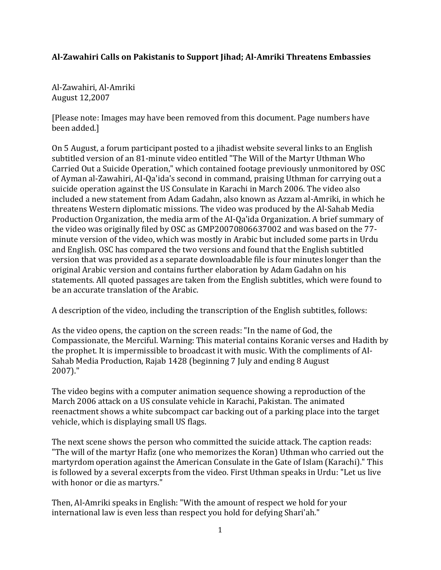## **Al-Zawahiri Calls on Pakistanis to Support Jihad; Al-Amriki Threatens Embassies**

Al-Zawahiri, Al-Amriki August 12,2007

[Please note: Images may have been removed from this document. Page numbers have been added.]

On 5 August, a forum participant posted to a jihadist website several links to an English subtitled version of an 81-minute video entitled "The Will of the Martyr Uthman Who Carried Out a Suicide Operation," which contained footage previously unmonitored by OSC of Ayman al-Zawahiri, AI-Qa'ida's second in command, praising Uthman for carrying out a suicide operation against the US Consulate in Karachi in March 2006. The video also included a new statement from Adam Gadahn, also known as Azzam al-Amriki, in which he threatens Western diplomatic missions. The video was produced by the Al-Sahab Media Production Organization, the media arm of the AI-Qa'ida Organization. A brief summary of the video was originally filed by OSC as GMP20070806637002 and was based on the 77 minute version of the video, which was mostly in Arabic but included some parts in Urdu and English. OSC has compared the two versions and found that the English subtitled version that was provided as a separate downloadable file is four minutes longer than the original Arabic version and contains further elaboration by Adam Gadahn on his statements. All quoted passages are taken from the English subtitles, which were found to be an accurate translation of the Arabic.

A description of the video, including the transcription of the English subtitles, follows:

As the video opens, the caption on the screen reads: "In the name of God, the Compassionate, the Merciful. Warning: This material contains Koranic verses and Hadith by the prophet. It is impermissible to broadcast it with music. With the compliments of AI-Sahab Media Production, Rajab 1428 (beginning 7 July and ending 8 August 2007)."

The video begins with a computer animation sequence showing a reproduction of the March 2006 attack on a US consulate vehicle in Karachi, Pakistan. The animated reenactment shows a white subcompact car backing out of a parking place into the target vehicle, which is displaying small US flags.

The next scene shows the person who committed the suicide attack. The caption reads: "The will of the martyr Hafiz (one who memorizes the Koran) Uthman who carried out the martyrdom operation against the American Consulate in the Gate of Islam (Karachi)." This is followed by a several excerpts from the video. First Uthman speaks in Urdu: "Let us live with honor or die as martyrs."

Then, Al-Amriki speaks in English: "With the amount of respect we hold for your international law is even less than respect you hold for defying Shari'ah."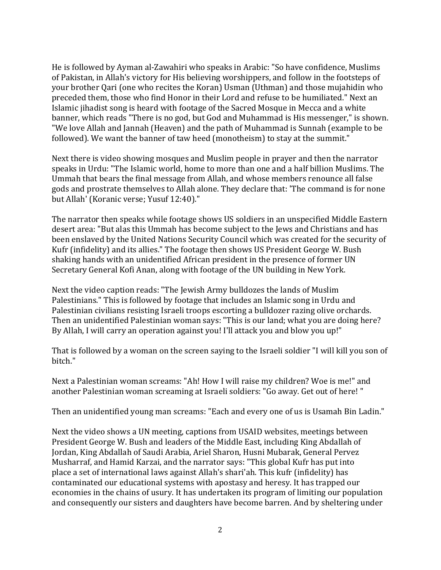He is followed by Ayman al-Zawahiri who speaks in Arabic: "So have confidence, Muslims of Pakistan, in Allah's victory for His believing worshippers, and follow in the footsteps of your brother Qari (one who recites the Koran) Usman (Uthman) and those mujahidin who preceded them, those who find Honor in their Lord and refuse to be humiliated." Next an Islamic jihadist song is heard with footage of the Sacred Mosque in Mecca and a white banner, which reads "There is no god, but God and Muhammad is His messenger," is shown. "We love Allah and Jannah (Heaven) and the path of Muhammad is Sunnah (example to be followed). We want the banner of taw heed (monotheism) to stay at the summit."

Next there is video showing mosques and Muslim people in prayer and then the narrator speaks in Urdu: "The Islamic world, home to more than one and a half billion Muslims. The Ummah that bears the final message from Allah, and whose members renounce all false gods and prostrate themselves to Allah alone. They declare that: 'The command is for none but Allah' (Koranic verse; Yusuf 12:40)."

The narrator then speaks while footage shows US soldiers in an unspecified Middle Eastern desert area: "But alas this Ummah has become subject to the Jews and Christians and has been enslaved by the United Nations Security Council which was created for the security of Kufr (infidelity) and its allies." The footage then shows US President George W. Bush shaking hands with an unidentified African president in the presence of former UN Secretary General Kofi Anan, along with footage of the UN building in New York.

Next the video caption reads: "The Jewish Army bulldozes the lands of Muslim Palestinians." This is followed by footage that includes an Islamic song in Urdu and Palestinian civilians resisting Israeli troops escorting a bulldozer razing olive orchards. Then an unidentified Palestinian woman says: "This is our land; what you are doing here? By Allah, I will carry an operation against you! I'll attack you and blow you up!"

That is followed by a woman on the screen saying to the Israeli soldier "I will kill you son of bitch."

Next a Palestinian woman screams: "Ah! How I will raise my children? Woe is me!" and another Palestinian woman screaming at Israeli soldiers: "Go away. Get out of here! "

Then an unidentified young man screams: "Each and every one of us is Usamah Bin Ladin."

Next the video shows a UN meeting, captions from USAID websites, meetings between President George W. Bush and leaders of the Middle East, including King Abdallah of Jordan, King Abdallah of Saudi Arabia, Ariel Sharon, Husni Mubarak, General Pervez Musharraf, and Hamid Karzai, and the narrator says: "This global Kufr has put into place a set of international laws against Allah's shari'ah. This kufr (infidelity) has contaminated our educational systems with apostasy and heresy. It has trapped our economies in the chains of usury. It has undertaken its program of limiting our population and consequently our sisters and daughters have become barren. And by sheltering under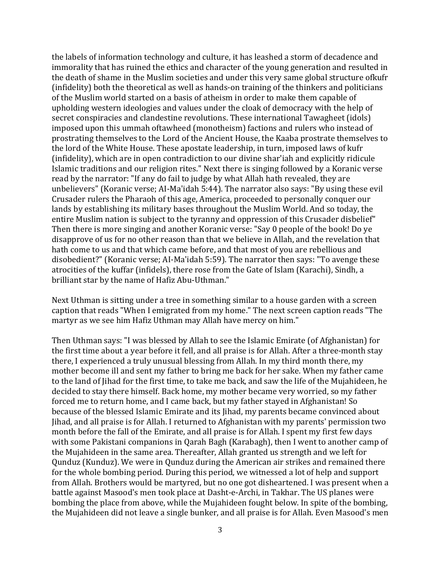the labels of information technology and culture, it has leashed a storm of decadence and immorality that has ruined the ethics and character of the young generation and resulted in the death of shame in the Muslim societies and under this very same global structure ofkufr (infidelity) both the theoretical as well as hands-on training of the thinkers and politicians of the Muslim world started on a basis of atheism in order to make them capable of upholding western ideologies and values under the cloak of democracy with the help of secret conspiracies and clandestine revolutions. These international Tawagheet (idols) imposed upon this ummah oftawheed (monotheism) factions and rulers who instead of prostrating themselves to the Lord of the Ancient House, the Kaaba prostrate themselves to the lord of the White House. These apostate leadership, in turn, imposed laws of kufr (infidelity), which are in open contradiction to our divine shar'iah and explicitly ridicule Islamic traditions and our religion rites." Next there is singing followed by a Koranic verse read by the narrator: "If any do fail to judge by what Allah hath revealed, they are unbelievers" (Koranic verse; AI-Ma'idah 5:44). The narrator also says: "By using these evil Crusader rulers the Pharaoh of this age, America, proceeded to personally conquer our lands by establishing its military bases throughout the Muslim World. And so today, the entire Muslim nation is subject to the tyranny and oppression of this Crusader disbelief" Then there is more singing and another Koranic verse: "Say 0 people of the book! Do ye disapprove of us for no other reason than that we believe in Allah, and the revelation that hath come to us and that which came before, and that most of you are rebellious and disobedient?" (Koranic verse; AI-Ma'idah 5:59). The narrator then says: "To avenge these atrocities of the kuffar (infidels), there rose from the Gate of Islam (Karachi), Sindh, a brilliant star by the name of Hafiz Abu-Uthman."

Next Uthman is sitting under a tree in something similar to a house garden with a screen caption that reads "When I emigrated from my home." The next screen caption reads "The martyr as we see him Hafiz Uthman may Allah have mercy on him."

Then Uthman says: "I was blessed by Allah to see the Islamic Emirate (of Afghanistan) for the first time about a year before it fell, and all praise is for Allah. After a three-month stay there, I experienced a truly unusual blessing from Allah. In my third month there, my mother become ill and sent my father to bring me back for her sake. When my father came to the land of Jihad for the first time, to take me back, and saw the life of the Mujahideen, he decided to stay there himself. Back home, my mother became very worried, so my father forced me to return home, and I came back, but my father stayed in Afghanistan! So because of the blessed Islamic Emirate and its Jihad, my parents became convinced about Jihad, and all praise is for Allah. I returned to Afghanistan with my parents' permission two month before the fall of the Emirate, and all praise is for Allah. I spent my first few days with some Pakistani companions in Qarah Bagh (Karabagh), then I went to another camp of the Mujahideen in the same area. Thereafter, Allah granted us strength and we left for Qunduz (Kunduz). We were in Qunduz during the American air strikes and remained there for the whole bombing period. During this period, we witnessed a lot of help and support from Allah. Brothers would be martyred, but no one got disheartened. I was present when a battle against Masood's men took place at Dasht-e-Archi, in Takhar. The US planes were bombing the place from above, while the Mujahideen fought below. In spite of the bombing, the Mujahideen did not leave a single bunker, and all praise is for Allah. Even Masood's men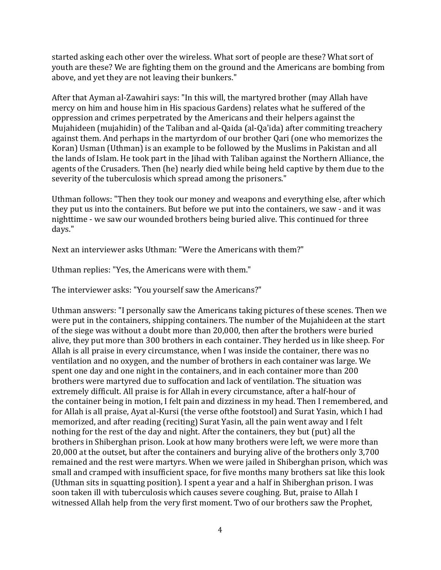started asking each other over the wireless. What sort of people are these? What sort of youth are these? We are fighting them on the ground and the Americans are bombing from above, and yet they are not leaving their bunkers."

After that Ayman al-Zawahiri says: "In this will, the martyred brother (may Allah have mercy on him and house him in His spacious Gardens) relates what he suffered of the oppression and crimes perpetrated by the Americans and their helpers against the Mujahideen (mujahidin) of the Taliban and al-Qaida (al-Qa'ida) after commiting treachery against them. And perhaps in the martyrdom of our brother Qari (one who memorizes the Koran) Usman (Uthman) is an example to be followed by the Muslims in Pakistan and all the lands of Islam. He took part in the Jihad with Taliban against the Northern Alliance, the agents of the Crusaders. Then (he) nearly died while being held captive by them due to the severity of the tuberculosis which spread among the prisoners."

Uthman follows: "Then they took our money and weapons and everything else, after which they put us into the containers. But before we put into the containers, we saw - and it was nighttime - we saw our wounded brothers being buried alive. This continued for three days."

Next an interviewer asks Uthman: "Were the Americans with them?"

Uthman replies: "Yes, the Americans were with them."

The interviewer asks: "You yourself saw the Americans?"

Uthman answers: "I personally saw the Americans taking pictures of these scenes. Then we were put in the containers, shipping containers. The number of the Mujahideen at the start of the siege was without a doubt more than 20,000, then after the brothers were buried alive, they put more than 300 brothers in each container. They herded us in like sheep. For Allah is all praise in every circumstance, when I was inside the container, there was no ventilation and no oxygen, and the number of brothers in each container was large. We spent one day and one night in the containers, and in each container more than 200 brothers were martyred due to suffocation and lack of ventilation. The situation was extremely difficult. All praise is for Allah in every circumstance, after a half-hour of the container being in motion, I felt pain and dizziness in my head. Then I remembered, and for Allah is all praise, Ayat al-Kursi (the verse ofthe footstool) and Surat Yasin, which I had memorized, and after reading (reciting) Surat Yasin, all the pain went away and I felt nothing for the rest of the day and night. After the containers, they but (put) all the brothers in Shiberghan prison. Look at how many brothers were left, we were more than 20,000 at the outset, but after the containers and burying alive of the brothers only 3,700 remained and the rest were martyrs. When we were jailed in Shiberghan prison, which was small and cramped with insufficient space, for five months many brothers sat like this look (Uthman sits in squatting position). I spent a year and a half in Shiberghan prison. I was soon taken ill with tuberculosis which causes severe coughing. But, praise to Allah I witnessed Allah help from the very first moment. Two of our brothers saw the Prophet,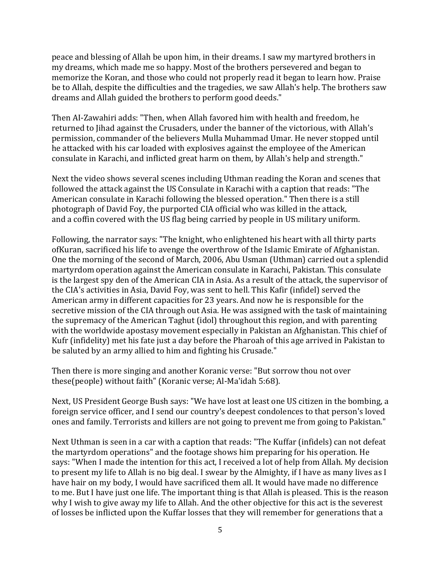peace and blessing of Allah be upon him, in their dreams. I saw my martyred brothers in my dreams, which made me so happy. Most of the brothers persevered and began to memorize the Koran, and those who could not properly read it began to learn how. Praise be to Allah, despite the difficulties and the tragedies, we saw Allah's help. The brothers saw dreams and Allah guided the brothers to perform good deeds."

Then AI-Zawahiri adds: "Then, when Allah favored him with health and freedom, he returned to Jihad against the Crusaders, under the banner of the victorious, with Allah's permission, commander of the believers Mulla Muhammad Umar. He never stopped until he attacked with his car loaded with explosives against the employee of the American consulate in Karachi, and inflicted great harm on them, by Allah's help and strength."

Next the video shows several scenes including Uthman reading the Koran and scenes that followed the attack against the US Consulate in Karachi with a caption that reads: "The American consulate in Karachi following the blessed operation." Then there is a still photograph of David Foy, the purported CIA official who was killed in the attack, and a coffin covered with the US flag being carried by people in US military uniform.

Following, the narrator says: "The knight, who enlightened his heart with all thirty parts ofKuran, sacrificed his life to avenge the overthrow of the Islamic Emirate of Afghanistan. One the morning of the second of March, 2006, Abu Usman (Uthman) carried out a splendid martyrdom operation against the American consulate in Karachi, Pakistan. This consulate is the largest spy den of the American CIA in Asia. As a result of the attack, the supervisor of the CIA's activities in Asia, David Foy, was sent to hell. This Kafir (infidel) served the American army in different capacities for 23 years. And now he is responsible for the secretive mission of the CIA through out Asia. He was assigned with the task of maintaining the supremacy of the American Taghut (idol) throughout this region, and with parenting with the worldwide apostasy movement especially in Pakistan an Afghanistan. This chief of Kufr (infidelity) met his fate just a day before the Pharoah of this age arrived in Pakistan to be saluted by an army allied to him and fighting his Crusade."

Then there is more singing and another Koranic verse: "But sorrow thou not over these(people) without faith" (Koranic verse; Al-Ma'idah 5:68).

Next, US President George Bush says: "We have lost at least one US citizen in the bombing, a foreign service officer, and I send our country's deepest condolences to that person's loved ones and family. Terrorists and killers are not going to prevent me from going to Pakistan."

Next Uthman is seen in a car with a caption that reads: "The Kuffar (infidels) can not defeat the martyrdom operations" and the footage shows him preparing for his operation. He says: "When I made the intention for this act, I received a lot of help from Allah. My decision to present my life to Allah is no big deal. I swear by the Almighty, if I have as many lives as I have hair on my body, I would have sacrificed them all. It would have made no difference to me. But I have just one life. The important thing is that Allah is pleased. This is the reason why I wish to give away my life to Allah. And the other objective for this act is the severest of losses be inflicted upon the Kuffar losses that they will remember for generations that a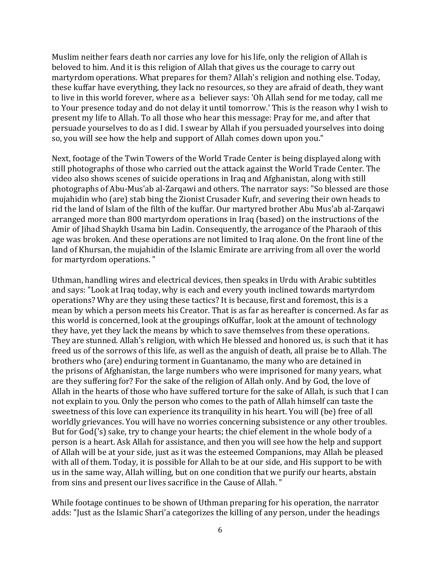Muslim neither fears death nor carries any love for his life, only the religion of Allah is beloved to him. And it is this religion of Allah that gives us the courage to carry out martyrdom operations. What prepares for them? Allah's religion and nothing else. Today, these kuffar have everything, they lack no resources, so they are afraid of death, they want to live in this world forever, where as a believer says: 'Oh Allah send for me today, call me to Your presence today and do not delay it until tomorrow.' This is the reason why I wish to present my life to Allah. To all those who hear this message: Pray for me, and after that persuade yourselves to do as I did. I swear by Allah if you persuaded yourselves into doing so, you will see how the help and support of Allah comes down upon you."

Next, footage of the Twin Towers of the World Trade Center is being displayed along with still photographs of those who carried out the attack against the World Trade Center. The video also shows scenes of suicide operations in Iraq and Afghanistan, along with still photographs of Abu-Mus'ab al-Zarqawi and others. The narrator says: "So blessed are those mujahidin who (are) stab bing the Zionist Crusader Kufr, and severing their own heads to rid the land of Islam of the filth of the kuffar. Our martyred brother Abu Mus'ab al-Zarqawi arranged more than 800 martyrdom operations in Iraq (based) on the instructions of the Amir of Jihad Shaykh Usama bin Ladin. Consequently, the arrogance of the Pharaoh of this age was broken. And these operations are not limited to Iraq alone. On the front line of the land of Khursan, the mujahidin of the Islamic Emirate are arriving from all over the world for martyrdom operations. "

Uthman, handling wires and electrical devices, then speaks in Urdu with Arabic subtitles and says: "Look at Iraq today, why is each and every youth inclined towards martyrdom operations? Why are they using these tactics? It is because, first and foremost, this is a mean by which a person meets his Creator. That is as far as hereafter is concerned. As far as this world is concerned, look at the groupings ofKuffar, look at the amount of technology they have, yet they lack the means by which to save themselves from these operations. They are stunned. Allah's religion, with which He blessed and honored us, is such that it has freed us of the sorrows of this life, as well as the anguish of death, all praise be to Allah. The brothers who (are) enduring torment in Guantanamo, the many who are detained in the prisons of Afghanistan, the large numbers who were imprisoned for many years, what are they suffering for? For the sake of the religion of Allah only. And by God, the love of Allah in the hearts of those who have suffered torture for the sake of Allah, is such that I can not explain to you. Only the person who comes to the path of Allah himself can taste the sweetness of this love can experience its tranquility in his heart. You will (be) free of all worldly grievances. You will have no worries concerning subsistence or any other troubles. But for God('s) sake, try to change your hearts; the chief element in the whole body of a person is a heart. Ask Allah for assistance, and then you will see how the help and support of Allah will be at your side, just as it was the esteemed Companions, may Allah be pleased with all of them. Today, it is possible for Allah to be at our side, and His support to be with us in the same way, Allah willing, but on one condition that we purify our hearts, abstain from sins and present our lives sacrifice in the Cause of Allah. "

While footage continues to be shown of Uthman preparing for his operation, the narrator adds: "Just as the Islamic Shari'a categorizes the killing of any person, under the headings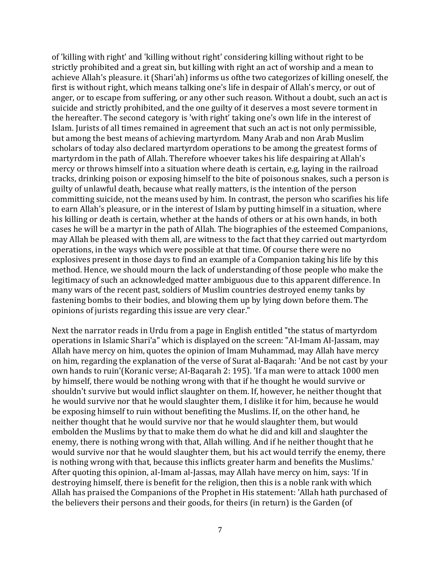of 'killing with right' and 'killing without right' considering killing without right to be strictly prohibited and a great sin, but killing with right an act of worship and a mean to achieve Allah's pleasure. it (Shari'ah) informs us ofthe two categorizes of killing oneself, the first is without right, which means talking one's life in despair of Allah's mercy, or out of anger, or to escape from suffering, or any other such reason. Without a doubt, such an act is suicide and strictly prohibited, and the one guilty of it deserves a most severe torment in the hereafter. The second category is 'with right' taking one's own life in the interest of Islam. Jurists of all times remained in agreement that such an act is not only permissible, but among the best means of achieving martyrdom. Many Arab and non Arab Muslim scholars of today also declared martyrdom operations to be among the greatest forms of martyrdom in the path of Allah. Therefore whoever takes his life despairing at Allah's mercy or throws himself into a situation where death is certain, e.g, laying in the railroad tracks, drinking poison or exposing himself to the bite of poisonous snakes, such a person is guilty of unlawful death, because what really matters, is the intention of the person committing suicide, not the means used by him. In contrast, the person who scarifies his life to earn Allah's pleasure, or in the interest of Islam by putting himself in a situation, where his killing or death is certain, whether at the hands of others or at his own hands, in both cases he will be a martyr in the path of Allah. The biographies of the esteemed Companions, may Allah be pleased with them all, are witness to the fact that they carried out martyrdom operations, in the ways which were possible at that time. Of course there were no explosives present in those days to find an example of a Companion taking his life by this method. Hence, we should mourn the lack of understanding of those people who make the legitimacy of such an acknowledged matter ambiguous due to this apparent difference. In many wars of the recent past, soldiers of Muslim countries destroyed enemy tanks by fastening bombs to their bodies, and blowing them up by lying down before them. The opinions of jurists regarding this issue are very clear."

Next the narrator reads in Urdu from a page in English entitled "the status of martyrdom operations in Islamic Shari'a" which is displayed on the screen: "AI-Imam AI-Jassam, may Allah have mercy on him, quotes the opinion of Imam Muhammad, may Allah have mercy on him, regarding the explanation of the verse of Surat al-Baqarah: 'And be not cast by your own hands to ruin'(Koranic verse; AI-Baqarah 2: 195). 'If a man were to attack 1000 men by himself, there would be nothing wrong with that if he thought he would survive or shouldn't survive but would inflict slaughter on them. If, however, he neither thought that he would survive nor that he would slaughter them, I dislike it for him, because he would be exposing himself to ruin without benefiting the Muslims. If, on the other hand, he neither thought that he would survive nor that he would slaughter them, but would embolden the Muslims by that to make them do what he did and kill and slaughter the enemy, there is nothing wrong with that, Allah willing. And if he neither thought that he would survive nor that he would slaughter them, but his act would terrify the enemy, there is nothing wrong with that, because this inflicts greater harm and benefits the Muslims.' After quoting this opinion, aI-Imam al-Jassas, may Allah have mercy on him, says: 'If in destroying himself, there is benefit for the religion, then this is a noble rank with which Allah has praised the Companions of the Prophet in His statement: 'Allah hath purchased of the believers their persons and their goods, for theirs (in return) is the Garden (of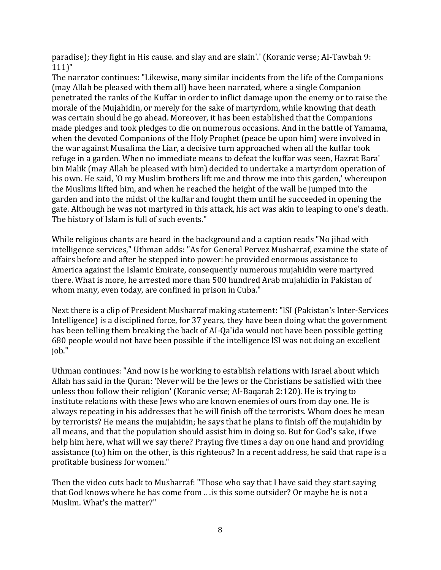paradise); they fight in His cause. and slay and are slain'.' (Koranic verse; AI-Tawbah 9: 111)"

The narrator continues: "Likewise, many similar incidents from the life of the Companions (may Allah be pleased with them all) have been narrated, where a single Companion penetrated the ranks of the Kuffar in order to inflict damage upon the enemy or to raise the morale of the Mujahidin, or merely for the sake of martyrdom, while knowing that death was certain should he go ahead. Moreover, it has been established that the Companions made pledges and took pledges to die on numerous occasions. And in the battle of Yamama, when the devoted Companions of the Holy Prophet (peace be upon him) were involved in the war against Musalima the Liar, a decisive turn approached when all the kuffar took refuge in a garden. When no immediate means to defeat the kuffar was seen, Hazrat Bara' bin Malik (may Allah be pleased with him) decided to undertake a martyrdom operation of his own. He said, 'O my Muslim brothers lift me and throw me into this garden,' whereupon the Muslims lifted him, and when he reached the height of the wall he jumped into the garden and into the midst of the kuffar and fought them until he succeeded in opening the gate. Although he was not martyred in this attack, his act was akin to leaping to one's death. The history of Islam is full of such events."

While religious chants are heard in the background and a caption reads "No jihad with intelligence services," Uthman adds: "As for General Pervez Musharraf, examine the state of affairs before and after he stepped into power: he provided enormous assistance to America against the Islamic Emirate, consequently numerous mujahidin were martyred there. What is more, he arrested more than 500 hundred Arab mujahidin in Pakistan of whom many, even today, are confined in prison in Cuba."

Next there is a clip of President Musharraf making statement: "lSI (Pakistan's Inter-Services Intelligence) is a disciplined force, for 37 years, they have been doing what the government has been telling them breaking the back of AI-Qa'ida would not have been possible getting 680 people would not have been possible if the intelligence lSI was not doing an excellent job."

Uthman continues: "And now is he working to establish relations with Israel about which Allah has said in the Quran: 'Never will be the Jews or the Christians be satisfied with thee unless thou follow their religion' (Koranic verse; AI-Baqarah 2:120). He is trying to institute relations with these Jews who are known enemies of ours from day one. He is always repeating in his addresses that he will finish off the terrorists. Whom does he mean by terrorists? He means the mujahidin; he says that he plans to finish off the mujahidin by all means, and that the population should assist him in doing so. But for God's sake, if we help him here, what will we say there? Praying five times a day on one hand and providing assistance (to) him on the other, is this righteous? In a recent address, he said that rape is a profitable business for women."

Then the video cuts back to Musharraf: "Those who say that I have said they start saying that God knows where he has come from .. .is this some outsider? Or maybe he is not a Muslim. What's the matter?"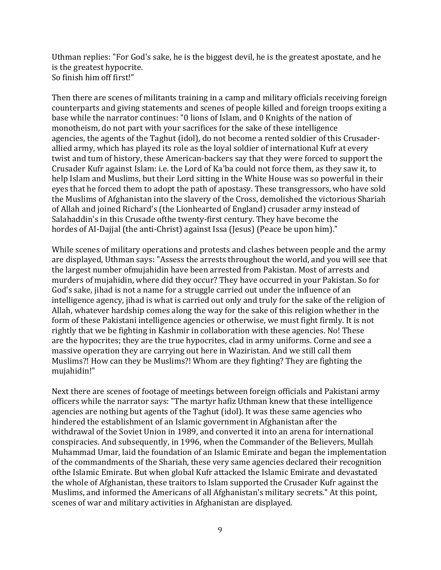Uthman replies: "For God's sake, he is the biggest devil, he is the greatest apostate, and he is the greatest hypocrite. So finish him off first!"

Then there are scenes of militants training in a camp and military officials receiving foreign counterparts and giving statements and scenes of people killed and foreign troops exiting a base while the narrator continues: "0 lions of Islam, and 0 Knights of the nation of monotheism, do not part with your sacrifices for the sake of these intelligence agencies, the agents of the Taghut (idol), do not become a rented soldier of this Crusaderallied army, which has played its role as the loyal soldier of international Kufr at every twist and tum of history, these American-backers say that they were forced to support the Crusader Kufr against Islam: i.e. the Lord of Ka'ba could not force them, as they saw it, to help Islam and Muslims, but their Lord sitting in the White House was so powerful in their eyes that he forced them to adopt the path of apostasy. These transgressors, who have sold the Muslims of Afghanistan into the slavery of the Cross, demolished the victorious Shariah of Allah and joined Richard's (the Lionhearted of England) crusader army instead of Salahaddin's in this Crusade ofthe twenty-first century. They have become the hordes of AI-Dajjal (the anti-Christ) against Issa (Jesus) (Peace be upon him)."

While scenes of military operations and protests and clashes between people and the army are displayed, Uthman says: "Assess the arrests throughout the world, and you will see that the largest number ofmujahidin have been arrested from Pakistan. Most of arrests and murders of mujahidin, where did they occur? They have occurred in your Pakistan. So for God's sake, jihad is not a name for a struggle carried out under the influence of an intelligence agency, jihad is what is carried out only and truly for the sake of the religion of Allah, whatever hardship comes along the way for the sake of this religion whether in the form of these Pakistani intelligence agencies or otherwise, we must fight firmly. It is not rightly that we be fighting in Kashmir in collaboration with these agencies. No! These are the hypocrites; they are the true hypocrites, clad in army uniforms. Corne and see a massive operation they are carrying out here in Waziristan. And we still call them Muslims?! How can they be Muslims?! Whom are they fighting? They are fighting the mujahidin!"

Next there are scenes of footage of meetings between foreign officials and Pakistani army officers while the narrator says: "The martyr hafiz Uthman knew that these intelligence agencies are nothing but agents of the Taghut (idol). It was these same agencies who hindered the establishment of an Islamic government in Afghanistan after the withdrawal of the Soviet Union in 1989, and converted it into an arena for international conspiracies. And subsequently, in 1996, when the Commander of the Believers, Mullah Muhammad Umar, laid the foundation of an Islamic Emirate and began the implementation of the commandments of the Shariah, these very same agencies declared their recognition ofthe Islamic Emirate. But when global Kufr attacked the Islamic Emirate and devastated the whole of Afghanistan, these traitors to Islam supported the Crusader Kufr against the Muslims, and informed the Americans of all Afghanistan's military secrets." At this point, scenes of war and military activities in Afghanistan are displayed.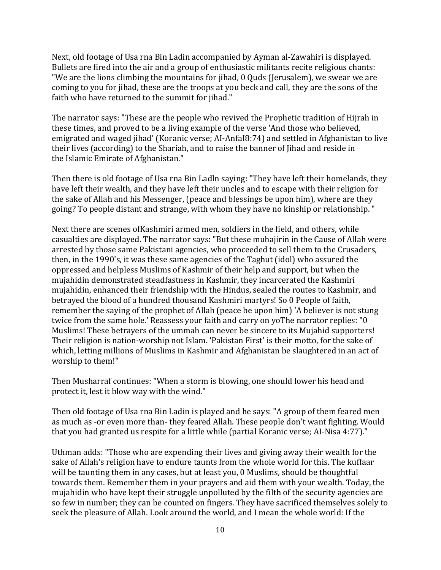Next, old footage of Usa rna Bin Ladin accompanied by Ayman al-Zawahiri is displayed. Bullets are fired into the air and a group of enthusiastic militants recite religious chants: "We are the lions climbing the mountains for jihad, 0 Quds (Jerusalem), we swear we are coming to you for jihad, these are the troops at you beck and call, they are the sons of the faith who have returned to the summit for jihad."

The narrator says: "These are the people who revived the Prophetic tradition of Hijrah in these times, and proved to be a living example of the verse 'And those who believed, emigrated and waged jihad' (Koranic verse; AI-AnfaI8:74) and settled in Afghanistan to live their lives (according) to the Shariah, and to raise the banner of Jihad and reside in the Islamic Emirate of Afghanistan."

Then there is old footage of Usa rna Bin Ladln saying: "They have left their homelands, they have left their wealth, and they have left their uncles and to escape with their religion for the sake of Allah and his Messenger, (peace and blessings be upon him), where are they going? To people distant and strange, with whom they have no kinship or relationship. "

Next there are scenes ofKashmiri armed men, soldiers in the field, and others, while casualties are displayed. The narrator says: "But these muhajirin in the Cause of Allah were arrested by those same Pakistani agencies, who proceeded to sell them to the Crusaders, then, in the 1990's, it was these same agencies of the Taghut (idol) who assured the oppressed and helpless Muslims of Kashmir of their help and support, but when the mujahidin demonstrated steadfastness in Kashmir, they incarcerated the Kashmiri mujahidin, enhanced their friendship with the Hindus, sealed the routes to Kashmir, and betrayed the blood of a hundred thousand Kashmiri martyrs! So 0 People of faith, remember the saying of the prophet of Allah (peace be upon him) 'A believer is not stung twice from the same hole.' Reassess your faith and carry on yoThe narrator replies: "0 Muslims! These betrayers of the ummah can never be sincere to its Mujahid supporters! Their religion is nation-worship not Islam. 'Pakistan First' is their motto, for the sake of which, letting millions of Muslims in Kashmir and Afghanistan be slaughtered in an act of worship to them!"

Then Musharraf continues: "When a storm is blowing, one should lower his head and protect it, lest it blow way with the wind."

Then old footage of Usa rna Bin Ladin is played and he says: "A group of them feared men as much as -or even more than- they feared Allah. These people don't want fighting. Would that you had granted us respite for a little while (partial Koranic verse; AI-Nisa 4:77)."

Uthman adds: "Those who are expending their lives and giving away their wealth for the sake of Allah's religion have to endure taunts from the whole world for this. The kuffaar will be taunting them in any cases, but at least you, 0 Muslims, should be thoughtful towards them. Remember them in your prayers and aid them with your wealth. Today, the mujahidin who have kept their struggle unpolluted by the filth of the security agencies are so few in number; they can be counted on fingers. They have sacrificed themselves solely to seek the pleasure of Allah. Look around the world, and I mean the whole world: If the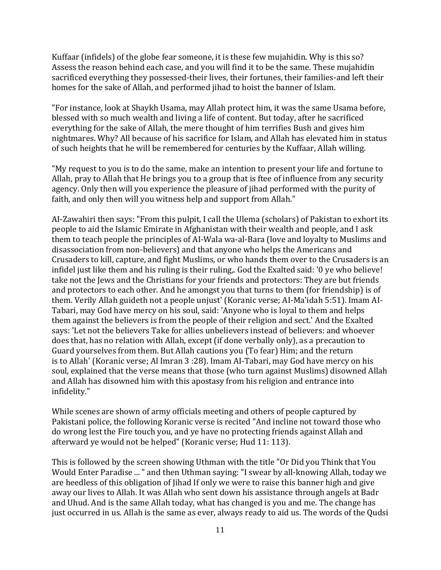Kuffaar (infidels) of the globe fear someone, it is these few mujahidin. Why is this so? Assess the reason behind each case, and you will find it to be the same. These mujahidin sacrificed everything they possessed-their lives, their fortunes, their families-and left their homes for the sake of Allah, and performed jihad to hoist the banner of Islam.

"For instance, look at Shaykh Usama, may Allah protect him, it was the same Usama before, blessed with so much wealth and living a life of content. But today, after he sacrificed everything for the sake of Allah, the mere thought of him terrifies Bush and gives him nightmares. Why? All because of his sacrifice for Islam, and Allah has elevated him in status of such heights that he will be remembered for centuries by the Kuffaar, Allah willing.

"My request to you is to do the same, make an intention to present your life and fortune to Allah, pray to Allah that He brings you to a group that is ftee of influence from any security agency. Only then will you experience the pleasure of jihad performed with the purity of faith, and only then will you witness help and support from Allah."

AI-Zawahiri then says: "From this pulpit, I call the Ulema (scholars) of Pakistan to exhort its people to aid the Islamic Emirate in Afghanistan with their wealth and people, and I ask them to teach people the principles of AI-Wala wa-al-Bara (love and loyalty to Muslims and disassociation from non-believers) and that anyone who helps the Americans and Crusaders to kill, capture, and fight Muslims, or who hands them over to the Crusaders is an infidel just like them and his ruling is their ruling,. God the Exalted said: '0 ye who believe! take not the Jews and the Christians for your friends and protectors: They are but friends and protectors to each other. And he amongst you that turns to them (for friendship) is of them. Verily Allah guideth not a people unjust' (Koranic verse; AI-Ma'idah 5:51). Imam AI-Tabari, may God have mercy on his soul, said: 'Anyone who is loyal to them and helps them against the believers is from the people of their religion and sect.' And the Exalted says: 'Let not the believers Take for allies unbelievers instead of believers: and whoever does that, has no relation with Allah, except (if done verbally only), as a precaution to Guard yourselves from them. But Allah cautions you (To fear) Him; and the return is to Allah' (Koranic verse; Al Imran 3 :28). Imam AI-Tabari, may God have mercy on his soul, explained that the verse means that those (who turn against Muslims) disowned Allah and Allah has disowned him with this apostasy from his religion and entrance into infidelity."

While scenes are shown of army officials meeting and others of people captured by Pakistani police, the following Koranic verse is recited "And incline not toward those who do wrong lest the Fire touch you, and ye have no protecting friends against Allah and afterward ye would not be helped" (Koranic verse; Hud 11: 113).

This is followed by the screen showing Uthman with the title "Or Did you Think that You Would Enter Paradise ... " and then Uthman saying: "I swear by all-knowing Allah, today we are heedless of this obligation of Jihad If only we were to raise this banner high and give away our lives to Allah. It was Allah who sent down his assistance through angels at Badr and Uhud. And is the same Allah today, what has changed is you and me. The change has just occurred in us. Allah is the same as ever, always ready to aid us. The words of the Qudsi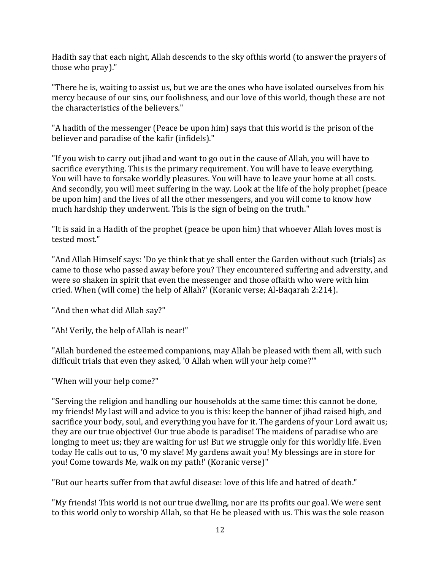Hadith say that each night, Allah descends to the sky ofthis world (to answer the prayers of those who pray)."

"There he is, waiting to assist us, but we are the ones who have isolated ourselves from his mercy because of our sins, our foolishness, and our love of this world, though these are not the characteristics of the believers."

"A hadith of the messenger (Peace be upon him) says that this world is the prison of the believer and paradise of the kafir (infidels)."

"If you wish to carry out jihad and want to go out in the cause of Allah, you will have to sacrifice everything. This is the primary requirement. You will have to leave everything. You will have to forsake worldly pleasures. You will have to leave your home at all costs. And secondly, you will meet suffering in the way. Look at the life of the holy prophet (peace be upon him) and the lives of all the other messengers, and you will come to know how much hardship they underwent. This is the sign of being on the truth."

"It is said in a Hadith of the prophet (peace be upon him) that whoever Allah loves most is tested most."

"And Allah Himself says: 'Do ye think that ye shall enter the Garden without such (trials) as came to those who passed away before you? They encountered suffering and adversity, and were so shaken in spirit that even the messenger and those offaith who were with him cried. When (will come) the help of Allah?' (Koranic verse; Al-Baqarah 2:214).

"And then what did Allah say?"

"Ah! Verily, the help of Allah is near!"

"Allah burdened the esteemed companions, may Allah be pleased with them all, with such difficult trials that even they asked, '0 Allah when will your help come?'"

"When will your help come?"

"Serving the religion and handling our households at the same time: this cannot be done, my friends! My last will and advice to you is this: keep the banner of jihad raised high, and sacrifice your body, soul, and everything you have for it. The gardens of your Lord await us; they are our true objective! Our true abode is paradise! The maidens of paradise who are longing to meet us; they are waiting for us! But we struggle only for this worldly life. Even today He calls out to us, '0 my slave! My gardens await you! My blessings are in store for you! Come towards Me, walk on my path!' (Koranic verse)"

"But our hearts suffer from that awful disease: love of this life and hatred of death."

"My friends! This world is not our true dwelling, nor are its profits our goal. We were sent to this world only to worship Allah, so that He be pleased with us. This was the sole reason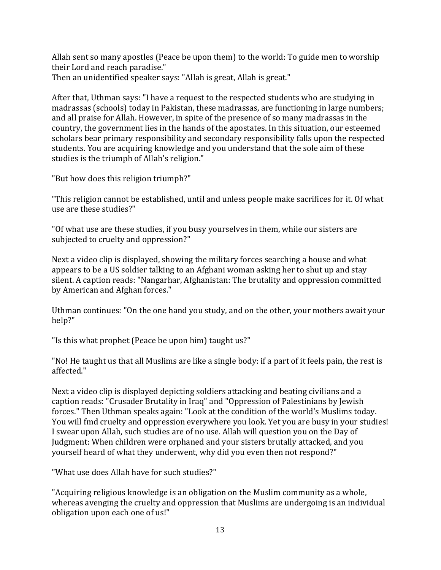Allah sent so many apostles (Peace be upon them) to the world: To guide men to worship their Lord and reach paradise." Then an unidentified speaker says: "Allah is great, Allah is great."

After that, Uthman says: "I have a request to the respected students who are studying in madrassas (schools) today in Pakistan, these madrassas, are functioning in large numbers; and all praise for Allah. However, in spite of the presence of so many madrassas in the country, the government lies in the hands of the apostates. In this situation, our esteemed scholars bear primary responsibility and secondary responsibility falls upon the respected students. You are acquiring knowledge and you understand that the sole aim of these studies is the triumph of Allah's religion."

"But how does this religion triumph?"

"This religion cannot be established, until and unless people make sacrifices for it. Of what use are these studies?"

"Of what use are these studies, if you busy yourselves in them, while our sisters are subjected to cruelty and oppression?"

Next a video clip is displayed, showing the military forces searching a house and what appears to be a US soldier talking to an Afghani woman asking her to shut up and stay silent. A caption reads: "Nangarhar, Afghanistan: The brutality and oppression committed by American and Afghan forces."

Uthman continues: "On the one hand you study, and on the other, your mothers await your help?"

"Is this what prophet (Peace be upon him) taught us?"

"No! He taught us that all Muslims are like a single body: if a part of it feels pain, the rest is affected."

Next a video clip is displayed depicting soldiers attacking and beating civilians and a caption reads: "Crusader Brutality in Iraq" and "Oppression of Palestinians by Jewish forces." Then Uthman speaks again: "Look at the condition of the world's Muslims today. You will fmd cruelty and oppression everywhere you look. Yet you are busy in your studies! I swear upon Allah, such studies are of no use. Allah will question you on the Day of Judgment: When children were orphaned and your sisters brutally attacked, and you yourself heard of what they underwent, why did you even then not respond?"

"What use does Allah have for such studies?"

"Acquiring religious knowledge is an obligation on the Muslim community as a whole, whereas avenging the cruelty and oppression that Muslims are undergoing is an individual obligation upon each one of us!"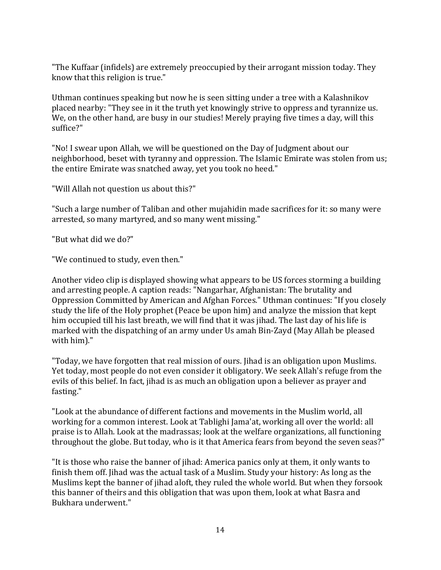"The Kuffaar (infidels) are extremely preoccupied by their arrogant mission today. They know that this religion is true."

Uthman continues speaking but now he is seen sitting under a tree with a Kalashnikov placed nearby: "They see in it the truth yet knowingly strive to oppress and tyrannize us. We, on the other hand, are busy in our studies! Merely praying five times a day, will this suffice?"

"No! I swear upon Allah, we will be questioned on the Day of Judgment about our neighborhood, beset with tyranny and oppression. The Islamic Emirate was stolen from us; the entire Emirate was snatched away, yet you took no heed."

"Will Allah not question us about this?"

"Such a large number of Taliban and other mujahidin made sacrifices for it: so many were arrested, so many martyred, and so many went missing."

"But what did we do?"

"We continued to study, even then."

Another video clip is displayed showing what appears to be US forces storming a building and arresting people. A caption reads: "Nangarhar, Afghanistan: The brutality and Oppression Committed by American and Afghan Forces." Uthman continues: "If you closely study the life of the Holy prophet (Peace be upon him) and analyze the mission that kept him occupied till his last breath, we will find that it was jihad. The last day of his life is marked with the dispatching of an army under Us amah Bin-Zayd (May Allah be pleased with him)."

"Today, we have forgotten that real mission of ours. Jihad is an obligation upon Muslims. Yet today, most people do not even consider it obligatory. We seek Allah's refuge from the evils of this belief. In fact, jihad is as much an obligation upon a believer as prayer and fasting."

"Look at the abundance of different factions and movements in the Muslim world, all working for a common interest. Look at Tablighi Jama'at, working all over the world: all praise is to Allah. Look at the madrassas; look at the welfare organizations, all functioning throughout the globe. But today, who is it that America fears from beyond the seven seas?"

"It is those who raise the banner of jihad: America panics only at them, it only wants to finish them off. Jihad was the actual task of a Muslim. Study your history: As long as the Muslims kept the banner of jihad aloft, they ruled the whole world. But when they forsook this banner of theirs and this obligation that was upon them, look at what Basra and Bukhara underwent."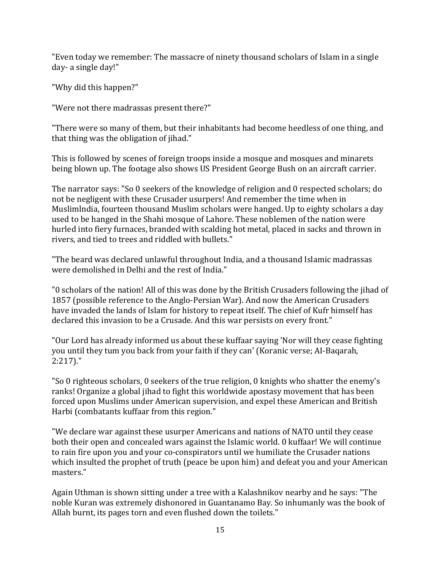"Even today we remember: The massacre of ninety thousand scholars of Islam in a single day- a single day!"

"Why did this happen?"

"Were not there madrassas present there?"

"There were so many of them, but their inhabitants had become heedless of one thing, and that thing was the obligation of jihad."

This is followed by scenes of foreign troops inside a mosque and mosques and minarets being blown up. The footage also shows US President George Bush on an aircraft carrier.

The narrator says: "So 0 seekers of the knowledge of religion and 0 respected scholars; do not be negligent with these Crusader usurpers! And remember the time when in Muslimlndia, fourteen thousand Muslim scholars were hanged. Up to eighty scholars a day used to be hanged in the Shahi mosque of Lahore. These noblemen of the nation were hurled into fiery furnaces, branded with scalding hot metal, placed in sacks and thrown in rivers, and tied to trees and riddled with bullets."

"The beard was declared unlawful throughout India, and a thousand Islamic madrassas were demolished in Delhi and the rest of India."

"0 scholars of the nation! All of this was done by the British Crusaders following the jihad of 1857 (possible reference to the Anglo-Persian War). And now the American Crusaders have invaded the lands of Islam for history to repeat itself. The chief of Kufr himself has declared this invasion to be a Crusade. And this war persists on every front."

"Our Lord has already informed us about these kuffaar saying 'Nor will they cease fighting you until they tum you back from your faith if they can' (Koranic verse; AI-Baqarah, 2:217)."

"So 0 righteous scholars, 0 seekers of the true religion, 0 knights who shatter the enemy's ranks! Organize a global jihad to fight this worldwide apostasy movement that has been forced upon Muslims under American supervision, and expel these American and British Harbi (combatants kuffaar from this region."

"We declare war against these usurper Americans and nations of NATO until they cease both their open and concealed wars against the Islamic world. 0 kuffaar! We will continue to rain fire upon you and your co-conspirators until we humiliate the Crusader nations which insulted the prophet of truth (peace be upon him) and defeat you and your American masters."

Again Uthman is shown sitting under a tree with a Kalashnikov nearby and he says: "The noble Kuran was extremely dishonored in Guantanamo Bay. So inhumanly was the book of Allah burnt, its pages torn and even flushed down the toilets."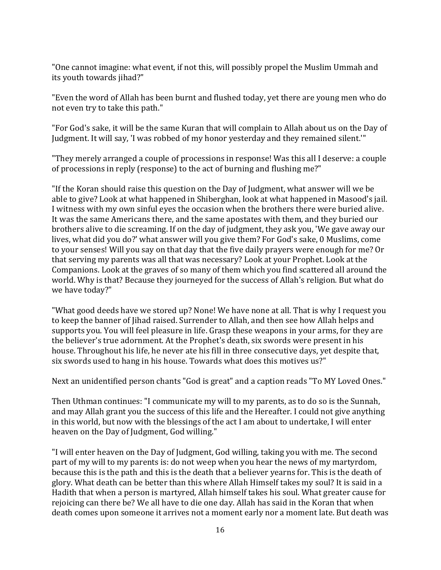"One cannot imagine: what event, if not this, will possibly propel the Muslim Ummah and its youth towards jihad?"

"Even the word of Allah has been burnt and flushed today, yet there are young men who do not even try to take this path."

"For God's sake, it will be the same Kuran that will complain to Allah about us on the Day of Judgment. It will say, 'I was robbed of my honor yesterday and they remained silent.'"

"They merely arranged a couple of processions in response! Was this all I deserve: a couple of processions in reply (response) to the act of burning and flushing me?"

"If the Koran should raise this question on the Day of Judgment, what answer will we be able to give? Look at what happened in Shiberghan, look at what happened in Masood's jail. I witness with my own sinful eyes the occasion when the brothers there were buried alive. It was the same Americans there, and the same apostates with them, and they buried our brothers alive to die screaming. If on the day of judgment, they ask you, 'We gave away our lives, what did you do?' what answer will you give them? For God's sake, 0 Muslims, come to your senses! Will you say on that day that the five daily prayers were enough for me? Or that serving my parents was all that was necessary? Look at your Prophet. Look at the Companions. Look at the graves of so many of them which you find scattered all around the world. Why is that? Because they journeyed for the success of Allah's religion. But what do we have today?"

"What good deeds have we stored up? None! We have none at all. That is why I request you to keep the banner of Jihad raised. Surrender to Allah, and then see how Allah helps and supports you. You will feel pleasure in life. Grasp these weapons in your arms, for they are the believer's true adornment. At the Prophet's death, six swords were present in his house. Throughout his life, he never ate his fill in three consecutive days, yet despite that, six swords used to hang in his house. Towards what does this motives us?"

Next an unidentified person chants "God is great" and a caption reads "To MY Loved Ones."

Then Uthman continues: "I communicate my will to my parents, as to do so is the Sunnah, and may Allah grant you the success of this life and the Hereafter. I could not give anything in this world, but now with the blessings of the act I am about to undertake, I will enter heaven on the Day of Judgment, God willing."

"I will enter heaven on the Day of Judgment, God willing, taking you with me. The second part of my will to my parents is: do not weep when you hear the news of my martyrdom, because this is the path and this is the death that a believer yearns for. This is the death of glory. What death can be better than this where Allah Himself takes my soul? It is said in a Hadith that when a person is martyred, Allah himself takes his soul. What greater cause for rejoicing can there be? We all have to die one day. Allah has said in the Koran that when death comes upon someone it arrives not a moment early nor a moment late. But death was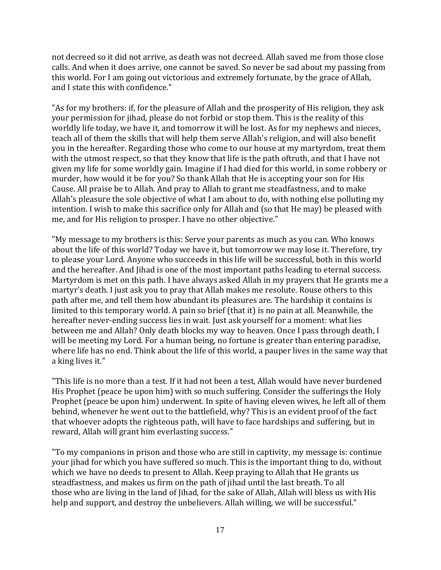not decreed so it did not arrive, as death was not decreed. Allah saved me from those close calls. And when it does arrive, one cannot be saved. So never be sad about my passing from this world. For I am going out victorious and extremely fortunate, by the grace of Allah, and I state this with confidence."

"As for my brothers: if, for the pleasure of Allah and the prosperity of His religion, they ask your permission for jihad, please do not forbid or stop them. This is the reality of this worldly life today, we have it, and tomorrow it will be lost. As for my nephews and nieces, teach all of them the skills that will help them serve Allah's religion, and will also benefit you in the hereafter. Regarding those who come to our house at my martyrdom, treat them with the utmost respect, so that they know that life is the path oftruth, and that I have not given my life for some worldly gain. Imagine if I had died for this world, in some robbery or murder, how would it be for you? So thank Allah that He is accepting your son for His Cause. All praise be to Allah. And pray to Allah to grant me steadfastness, and to make Allah's pleasure the sole objective of what I am about to do, with nothing else polluting my intention. I wish to make this sacrifice only for Allah and (so that He may) be pleased with me, and for His religion to prosper. I have no other objective."

"My message to my brothers is this: Serve your parents as much as you can. Who knows about the life of this world? Today we have it, but tomorrow we may lose it. Therefore, try to please your Lord. Anyone who succeeds in this life will be successful, both in this world and the hereafter. And Jihad is one of the most important paths leading to eternal success. Martyrdom is met on this path. I have always asked Allah in my prayers that He grants me a martyr's death. I just ask you to pray that Allah makes me resolute. Rouse others to this path after me, and tell them how abundant its pleasures are. The hardship it contains is limited to this temporary world. A pain so brief (that it) is no pain at all. Meanwhile, the hereafter never-ending success lies in wait. Just ask yourself for a moment: what lies between me and Allah? Only death blocks my way to heaven. Once I pass through death, I will be meeting my Lord. For a human being, no fortune is greater than entering paradise, where life has no end. Think about the life of this world, a pauper lives in the same way that a king lives it."

"This life is no more than a test. If it had not been a test, Allah would have never burdened His Prophet (peace be upon him) with so much suffering. Consider the sufferings the Holy Prophet (peace be upon him) underwent. In spite of having eleven wives, he left all of them behind, whenever he went out to the battlefield, why? This is an evident proof of the fact that whoever adopts the righteous path, will have to face hardships and suffering, but in reward, Allah will grant him everlasting success."

"To my companions in prison and those who are still in captivity, my message is: continue your jihad for which you have suffered so much. This is the important thing to do, without which we have no deeds to present to Allah. Keep praying to Allah that He grants us steadfastness, and makes us firm on the path of jihad until the last breath. To all those who are living in the land of Jihad, for the sake of Allah, Allah will bless us with His help and support, and destroy the unbelievers. Allah willing, we will be successful."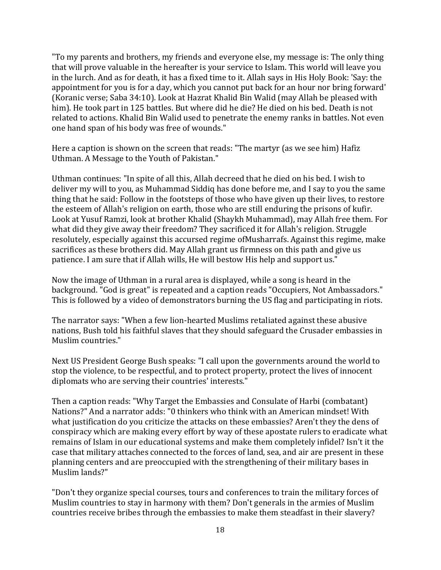"To my parents and brothers, my friends and everyone else, my message is: The only thing that will prove valuable in the hereafter is your service to Islam. This world will leave you in the lurch. And as for death, it has a fixed time to it. Allah says in His Holy Book: 'Say: the appointment for you is for a day, which you cannot put back for an hour nor bring forward' (Koranic verse; Saba 34:10). Look at Hazrat Khalid Bin Walid (may Allah be pleased with him). He took part in 125 battles. But where did he die? He died on his bed. Death is not related to actions. Khalid Bin Walid used to penetrate the enemy ranks in battles. Not even one hand span of his body was free of wounds."

Here a caption is shown on the screen that reads: "The martyr (as we see him) Hafiz Uthman. A Message to the Youth of Pakistan."

Uthman continues: "In spite of all this, Allah decreed that he died on his bed. I wish to deliver my will to you, as Muhammad Siddiq has done before me, and I say to you the same thing that he said: Follow in the footsteps of those who have given up their lives, to restore the esteem of Allah's religion on earth, those who are still enduring the prisons of kufir. Look at Yusuf Ramzi, look at brother Khalid (Shaykh Muhammad), may Allah free them. For what did they give away their freedom? They sacrificed it for Allah's religion. Struggle resolutely, especially against this accursed regime ofMusharrafs. Against this regime, make sacrifices as these brothers did. May Allah grant us firmness on this path and give us patience. I am sure that if Allah wills, He will bestow His help and support us."

Now the image of Uthman in a rural area is displayed, while a song is heard in the background. "God is great" is repeated and a caption reads "Occupiers, Not Ambassadors." This is followed by a video of demonstrators burning the US flag and participating in riots.

The narrator says: "When a few lion-hearted Muslims retaliated against these abusive nations, Bush told his faithful slaves that they should safeguard the Crusader embassies in Muslim countries."

Next US President George Bush speaks: "I call upon the governments around the world to stop the violence, to be respectful, and to protect property, protect the lives of innocent diplomats who are serving their countries' interests."

Then a caption reads: "Why Target the Embassies and Consulate of Harbi (combatant) Nations?" And a narrator adds: "0 thinkers who think with an American mindset! With what justification do you criticize the attacks on these embassies? Aren't they the dens of conspiracy which are making every effort by way of these apostate rulers to eradicate what remains of Islam in our educational systems and make them completely infidel? Isn't it the case that military attaches connected to the forces of land, sea, and air are present in these planning centers and are preoccupied with the strengthening of their military bases in Muslim lands?"

"Don't they organize special courses, tours and conferences to train the military forces of Muslim countries to stay in harmony with them? Don't generals in the armies of Muslim countries receive bribes through the embassies to make them steadfast in their slavery?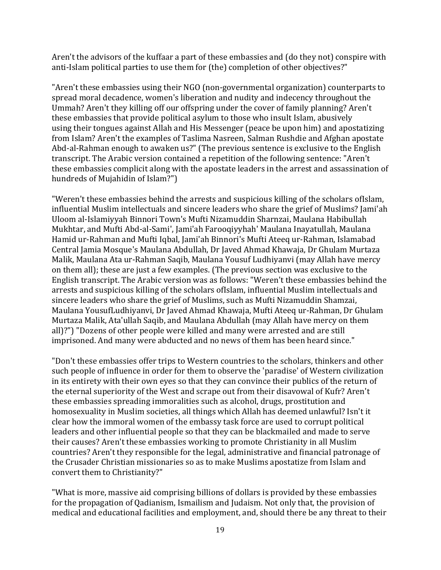Aren't the advisors of the kuffaar a part of these embassies and (do they not) conspire with anti-Islam political parties to use them for (the) completion of other objectives?"

"Aren't these embassies using their NGO (non-governmental organization) counterparts to spread moral decadence, women's liberation and nudity and indecency throughout the Ummah? Aren't they killing off our offspring under the cover of family planning? Aren't these embassies that provide political asylum to those who insult Islam, abusively using their tongues against Allah and His Messenger (peace be upon him) and apostatizing from Islam? Aren't the examples of Taslima Nasreen, Salman Rushdie and Afghan apostate Abd-al-Rahman enough to awaken us?" (The previous sentence is exclusive to the English transcript. The Arabic version contained a repetition of the following sentence: "Aren't these embassies complicit along with the apostate leaders in the arrest and assassination of hundreds of Mujahidin of Islam?")

"Weren't these embassies behind the arrests and suspicious killing of the scholars ofIslam, influential Muslim intellectuals and sincere leaders who share the grief of Muslims? Jami'ah Uloom al-Islamiyyah Binnori Town's Mufti Nizamuddin Sharnzai, Maulana Habibullah Mukhtar, and Mufti Abd-al-Sami', Jami'ah Farooqiyyhah' Maulana Inayatullah, Maulana Hamid ur-Rahman and Mufti Iqbal, Jami'ah Binnori's Mufti Ateeq ur-Rahman, Islamabad Central Jamia Mosque's Maulana Abdullah, Dr Javed Ahmad Khawaja, Dr Ghulam Murtaza Malik, Maulana Ata ur-Rahman Saqib, Maulana Yousuf Ludhiyanvi (may Allah have mercy on them all); these are just a few examples. (The previous section was exclusive to the English transcript. The Arabic version was as follows: "Weren't these embassies behind the arrests and suspicious killing of the scholars ofIslam, influential Muslim intellectuals and sincere leaders who share the grief of Muslims, such as Mufti Nizamuddin Shamzai, Maulana YousufLudhiyanvi, Dr Javed Ahmad Khawaja, Mufti Ateeq ur-Rahman, Dr Ghulam Murtaza Malik, Ata'ullah Saqib, and Maulana Abdullah (may Allah have mercy on them all)?") "Dozens of other people were killed and many were arrested and are still imprisoned. And many were abducted and no news of them has been heard since."

"Don't these embassies offer trips to Western countries to the scholars, thinkers and other such people of influence in order for them to observe the 'paradise' of Western civilization in its entirety with their own eyes so that they can convince their publics of the return of the eternal superiority of the West and scrape out from their disavowal of Kufr? Aren't these embassies spreading immoralities such as alcohol, drugs, prostitution and homosexuality in Muslim societies, all things which Allah has deemed unlawful? Isn't it clear how the immoral women of the embassy task force are used to corrupt political leaders and other influential people so that they can be blackmailed and made to serve their causes? Aren't these embassies working to promote Christianity in all Muslim countries? Aren't they responsible for the legal, administrative and financial patronage of the Crusader Christian missionaries so as to make Muslims apostatize from Islam and convert them to Christianity?"

"What is more, massive aid comprising billions of dollars is provided by these embassies for the propagation of Qadianism, Ismailism and Judaism. Not only that, the provision of medical and educational facilities and employment, and, should there be any threat to their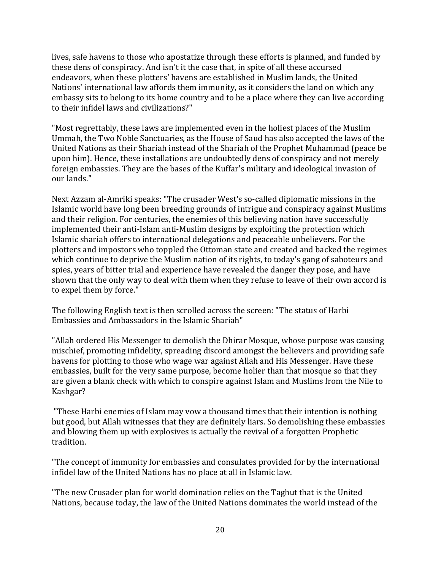lives, safe havens to those who apostatize through these efforts is planned, and funded by these dens of conspiracy. And isn't it the case that, in spite of all these accursed endeavors, when these plotters' havens are established in Muslim lands, the United Nations' international law affords them immunity, as it considers the land on which any embassy sits to belong to its home country and to be a place where they can live according to their infidel laws and civilizations?"

"Most regrettably, these laws are implemented even in the holiest places of the Muslim Ummah, the Two Noble Sanctuaries, as the House of Saud has also accepted the laws of the United Nations as their Shariah instead of the Shariah of the Prophet Muhammad (peace be upon him). Hence, these installations are undoubtedly dens of conspiracy and not merely foreign embassies. They are the bases of the Kuffar's military and ideological invasion of our lands."

Next Azzam al-Amriki speaks: "The crusader West's so-called diplomatic missions in the Islamic world have long been breeding grounds of intrigue and conspiracy against Muslims and their religion. For centuries, the enemies of this believing nation have successfully implemented their anti-Islam anti-Muslim designs by exploiting the protection which Islamic shariah offers to international delegations and peaceable unbelievers. For the plotters and impostors who toppled the Ottoman state and created and backed the regimes which continue to deprive the Muslim nation of its rights, to today's gang of saboteurs and spies, years of bitter trial and experience have revealed the danger they pose, and have shown that the only way to deal with them when they refuse to leave of their own accord is to expel them by force."

The following English text is then scrolled across the screen: "The status of Harbi Embassies and Ambassadors in the Islamic Shariah"

"Allah ordered His Messenger to demolish the Dhirar Mosque, whose purpose was causing mischief, promoting infidelity, spreading discord amongst the believers and providing safe havens for plotting to those who wage war against Allah and His Messenger. Have these embassies, built for the very same purpose, become holier than that mosque so that they are given a blank check with which to conspire against Islam and Muslims from the Nile to Kashgar?

"These Harbi enemies of Islam may vow a thousand times that their intention is nothing but good, but Allah witnesses that they are definitely liars. So demolishing these embassies and blowing them up with explosives is actually the revival of a forgotten Prophetic tradition.

"The concept of immunity for embassies and consulates provided for by the international infidel law of the United Nations has no place at all in Islamic law.

"The new Crusader plan for world domination relies on the Taghut that is the United Nations, because today, the law of the United Nations dominates the world instead of the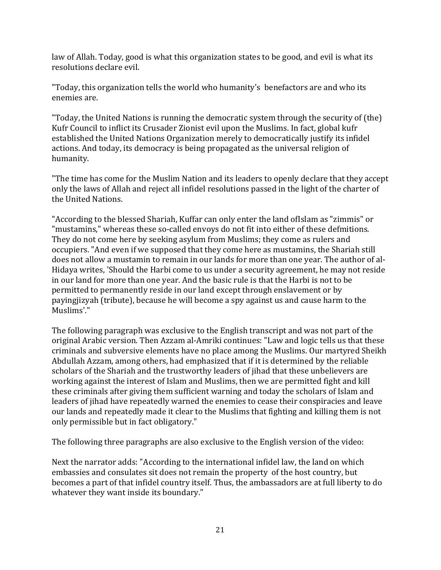law of Allah. Today, good is what this organization states to be good, and evil is what its resolutions declare evil.

"Today, this organization tells the world who humanity's benefactors are and who its enemies are.

"Today, the United Nations is running the democratic system through the security of (the) Kufr Council to inflict its Crusader Zionist evil upon the Muslims. In fact, global kufr established the United Nations Organization merely to democratically justify its infidel actions. And today, its democracy is being propagated as the universal religion of humanity.

"The time has come for the Muslim Nation and its leaders to openly declare that they accept only the laws of Allah and reject all infidel resolutions passed in the light of the charter of the United Nations.

"According to the blessed Shariah, Kuffar can only enter the land ofIslam as "zimmis" or "mustamins," whereas these so-called envoys do not fit into either of these defmitions. They do not come here by seeking asylum from Muslims; they come as rulers and occupiers. "And even if we supposed that they come here as mustamins, the Shariah still does not allow a mustamin to remain in our lands for more than one year. The author of al-Hidaya writes, 'Should the Harbi come to us under a security agreement, he may not reside in our land for more than one year. And the basic rule is that the Harbi is not to be permitted to permanently reside in our land except through enslavement or by payingjizyah (tribute), because he will become a spy against us and cause harm to the Muslims'."

The following paragraph was exclusive to the English transcript and was not part of the original Arabic version. Then Azzam al-Amriki continues: "Law and logic tells us that these criminals and subversive elements have no place among the Muslims. Our martyred Sheikh Abdullah Azzam, among others, had emphasized that if it is determined by the reliable scholars of the Shariah and the trustworthy leaders of jihad that these unbelievers are working against the interest of Islam and Muslims, then we are permitted fight and kill these criminals after giving them sufficient warning and today the scholars of Islam and leaders of jihad have repeatedly warned the enemies to cease their conspiracies and leave our lands and repeatedly made it clear to the Muslims that fighting and killing them is not only permissible but in fact obligatory."

The following three paragraphs are also exclusive to the English version of the video:

Next the narrator adds: "According to the international infidel law, the land on which embassies and consulates sit does not remain the property of the host country, but becomes a part of that infidel country itself. Thus, the ambassadors are at full liberty to do whatever they want inside its boundary."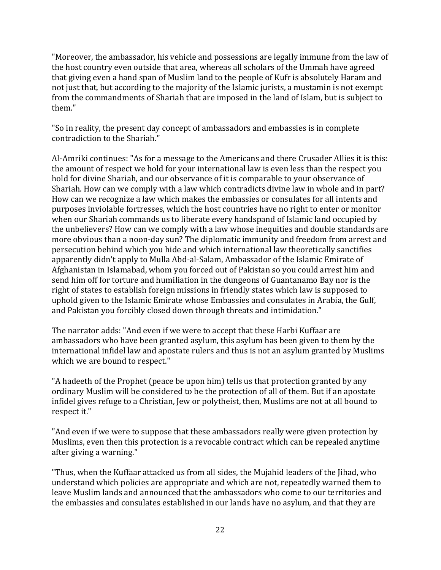"Moreover, the ambassador, his vehicle and possessions are legally immune from the law of the host country even outside that area, whereas all scholars of the Ummah have agreed that giving even a hand span of Muslim land to the people of Kufr is absolutely Haram and not just that, but according to the majority of the Islamic jurists, a mustamin is not exempt from the commandments of Shariah that are imposed in the land of Islam, but is subject to them."

"So in reality, the present day concept of ambassadors and embassies is in complete contradiction to the Shariah."

Al-Amriki continues: "As for a message to the Americans and there Crusader Allies it is this: the amount of respect we hold for your international law is even less than the respect you hold for divine Shariah, and our observance of it is comparable to your observance of Shariah. How can we comply with a law which contradicts divine law in whole and in part? How can we recognize a law which makes the embassies or consulates for all intents and purposes inviolable fortresses, which the host countries have no right to enter or monitor when our Shariah commands us to liberate every handspand of Islamic land occupied by the unbelievers? How can we comply with a law whose inequities and double standards are more obvious than a noon-day sun? The diplomatic immunity and freedom from arrest and persecution behind which you hide and which international law theoretically sanctifies apparently didn't apply to Mulla Abd-al-Salam, Ambassador of the Islamic Emirate of Afghanistan in Islamabad, whom you forced out of Pakistan so you could arrest him and send him off for torture and humiliation in the dungeons of Guantanamo Bay nor is the right of states to establish foreign missions in friendly states which law is supposed to uphold given to the Islamic Emirate whose Embassies and consulates in Arabia, the Gulf, and Pakistan you forcibly closed down through threats and intimidation."

The narrator adds: "And even if we were to accept that these Harbi Kuffaar are ambassadors who have been granted asylum, this asylum has been given to them by the international infidel law and apostate rulers and thus is not an asylum granted by Muslims which we are bound to respect."

"A hadeeth of the Prophet (peace be upon him) tells us that protection granted by any ordinary Muslim will be considered to be the protection of all of them. But if an apostate infidel gives refuge to a Christian, Jew or polytheist, then, Muslims are not at all bound to respect it."

"And even if we were to suppose that these ambassadors really were given protection by Muslims, even then this protection is a revocable contract which can be repealed anytime after giving a warning."

"Thus, when the Kuffaar attacked us from all sides, the Mujahid leaders of the Jihad, who understand which policies are appropriate and which are not, repeatedly warned them to leave Muslim lands and announced that the ambassadors who come to our territories and the embassies and consulates established in our lands have no asylum, and that they are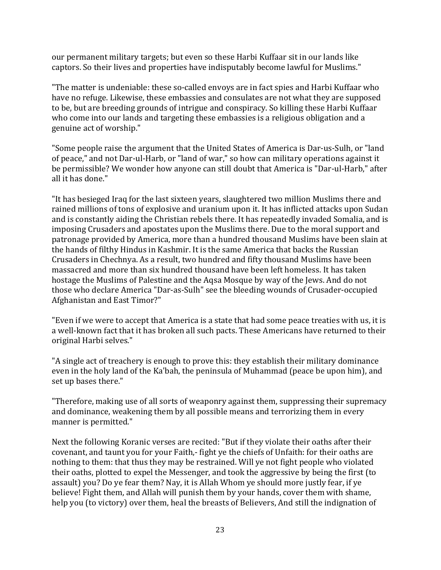our permanent military targets; but even so these Harbi Kuffaar sit in our lands like captors. So their lives and properties have indisputably become lawful for Muslims."

"The matter is undeniable: these so-called envoys are in fact spies and Harbi Kuffaar who have no refuge. Likewise, these embassies and consulates are not what they are supposed to be, but are breeding grounds of intrigue and conspiracy. So killing these Harbi Kuffaar who come into our lands and targeting these embassies is a religious obligation and a genuine act of worship."

"Some people raise the argument that the United States of America is Dar-us-Sulh, or "land of peace," and not Dar-ul-Harb, or "land of war," so how can military operations against it be permissible? We wonder how anyone can still doubt that America is "Dar-ul-Harb," after all it has done."

"It has besieged Iraq for the last sixteen years, slaughtered two million Muslims there and rained millions of tons of explosive and uranium upon it. It has inflicted attacks upon Sudan and is constantly aiding the Christian rebels there. It has repeatedly invaded Somalia, and is imposing Crusaders and apostates upon the Muslims there. Due to the moral support and patronage provided by America, more than a hundred thousand Muslims have been slain at the hands of filthy Hindus in Kashmir. It is the same America that backs the Russian Crusaders in Chechnya. As a result, two hundred and fifty thousand Muslims have been massacred and more than six hundred thousand have been left homeless. It has taken hostage the Muslims of Palestine and the Aqsa Mosque by way of the Jews. And do not those who declare America "Dar-as-Sulh" see the bleeding wounds of Crusader-occupied Afghanistan and East Timor?"

"Even if we were to accept that America is a state that had some peace treaties with us, it is a well-known fact that it has broken all such pacts. These Americans have returned to their original Harbi selves."

"A single act of treachery is enough to prove this: they establish their military dominance even in the holy land of the Ka'bah, the peninsula of Muhammad (peace be upon him), and set up bases there."

"Therefore, making use of all sorts of weaponry against them, suppressing their supremacy and dominance, weakening them by all possible means and terrorizing them in every manner is permitted."

Next the following Koranic verses are recited: "But if they violate their oaths after their covenant, and taunt you for your Faith,- fight ye the chiefs of Unfaith: for their oaths are nothing to them: that thus they may be restrained. Will ye not fight people who violated their oaths, plotted to expel the Messenger, and took the aggressive by being the first (to assault) you? Do ye fear them? Nay, it is Allah Whom ye should more justly fear, if ye believe! Fight them, and Allah will punish them by your hands, cover them with shame, help you (to victory) over them, heal the breasts of Believers, And still the indignation of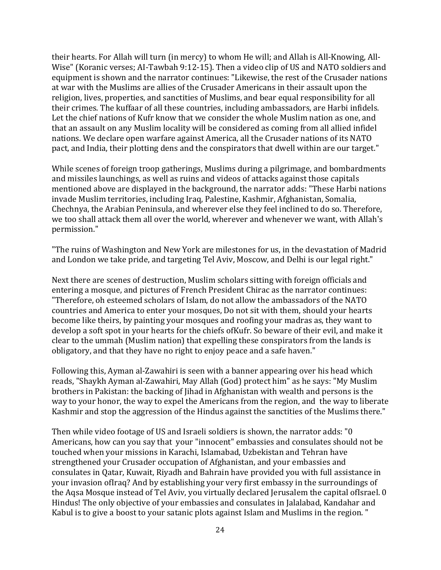their hearts. For Allah will turn (in mercy) to whom He will; and Allah is All-Knowing, All-Wise" (Koranic verses; AI-Tawbah 9:12-15). Then a video clip of US and NATO soldiers and equipment is shown and the narrator continues: "Likewise, the rest of the Crusader nations at war with the Muslims are allies of the Crusader Americans in their assault upon the religion, lives, properties, and sanctities of Muslims, and bear equal responsibility for all their crimes. The kuffaar of all these countries, including ambassadors, are Harbi infidels. Let the chief nations of Kufr know that we consider the whole Muslim nation as one, and that an assault on any Muslim locality will be considered as coming from all allied infidel nations. We declare open warfare against America, all the Crusader nations of its NATO pact, and India, their plotting dens and the conspirators that dwell within are our target."

While scenes of foreign troop gatherings, Muslims during a pilgrimage, and bombardments and missiles launchings, as well as ruins and videos of attacks against those capitals mentioned above are displayed in the background, the narrator adds: "These Harbi nations invade Muslim territories, including Iraq, Palestine, Kashmir, Afghanistan, Somalia, Chechnya, the Arabian Peninsula, and wherever else they feel inclined to do so. Therefore, we too shall attack them all over the world, wherever and whenever we want, with Allah's permission."

"The ruins of Washington and New York are milestones for us, in the devastation of Madrid and London we take pride, and targeting Tel Aviv, Moscow, and Delhi is our legal right."

Next there are scenes of destruction, Muslim scholars sitting with foreign officials and entering a mosque, and pictures of French President Chirac as the narrator continues: "Therefore, oh esteemed scholars of Islam, do not allow the ambassadors of the NATO countries and America to enter your mosques, Do not sit with them, should your hearts become like theirs, by painting your mosques and roofing your madras as, they want to develop a soft spot in your hearts for the chiefs ofKufr. So beware of their evil, and make it clear to the ummah (Muslim nation) that expelling these conspirators from the lands is obligatory, and that they have no right to enjoy peace and a safe haven."

Following this, Ayman al-Zawahiri is seen with a banner appearing over his head which reads, "Shaykh Ayman al-Zawahiri, May Allah (God) protect him" as he says: "My Muslim brothers in Pakistan: the backing of Jihad in Afghanistan with wealth and persons is the way to your honor, the way to expel the Americans from the region, and the way to liberate Kashmir and stop the aggression of the Hindus against the sanctities of the Muslims there."

Then while video footage of US and Israeli soldiers is shown, the narrator adds: "0 Americans, how can you say that your "innocent" embassies and consulates should not be touched when your missions in Karachi, Islamabad, Uzbekistan and Tehran have strengthened your Crusader occupation of Afghanistan, and your embassies and consulates in Qatar, Kuwait, Riyadh and Bahrain have provided you with full assistance in your invasion ofIraq? And by establishing your very first embassy in the surroundings of the Aqsa Mosque instead of Tel Aviv, you virtually declared Jerusalem the capital ofIsrael. 0 Hindus! The only objective of your embassies and consulates in Jalalabad, Kandahar and Kabul is to give a boost to your satanic plots against Islam and Muslims in the region. "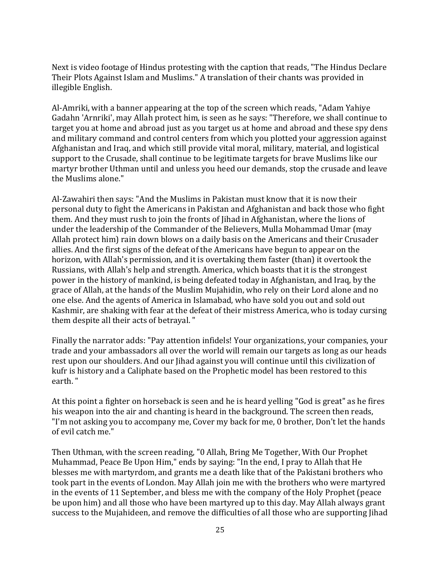Next is video footage of Hindus protesting with the caption that reads, "The Hindus Declare Their Plots Against Islam and Muslims." A translation of their chants was provided in illegible English.

Al-Amriki, with a banner appearing at the top of the screen which reads, "Adam Yahiye Gadahn 'Arnriki', may Allah protect him, is seen as he says: "Therefore, we shall continue to target you at home and abroad just as you target us at home and abroad and these spy dens and military command and control centers from which you plotted your aggression against Afghanistan and Iraq, and which still provide vital moral, military, material, and logistical support to the Crusade, shall continue to be legitimate targets for brave Muslims like our martyr brother Uthman until and unless you heed our demands, stop the crusade and leave the Muslims alone."

Al-Zawahiri then says: "And the Muslims in Pakistan must know that it is now their personal duty to fight the Americans in Pakistan and Afghanistan and back those who fight them. And they must rush to join the fronts of Jihad in Afghanistan, where the lions of under the leadership of the Commander of the Believers, Mulla Mohammad Umar (may Allah protect him) rain down blows on a daily basis on the Americans and their Crusader allies. And the first signs of the defeat of the Americans have begun to appear on the horizon, with Allah's permission, and it is overtaking them faster (than) it overtook the Russians, with Allah's help and strength. America, which boasts that it is the strongest power in the history of mankind, is being defeated today in Afghanistan, and Iraq, by the grace of Allah, at the hands of the Muslim Mujahidin, who rely on their Lord alone and no one else. And the agents of America in Islamabad, who have sold you out and sold out Kashmir, are shaking with fear at the defeat of their mistress America, who is today cursing them despite all their acts of betrayal. "

Finally the narrator adds: "Pay attention infidels! Your organizations, your companies, your trade and your ambassadors all over the world will remain our targets as long as our heads rest upon our shoulders. And our Jihad against you will continue until this civilization of kufr is history and a Caliphate based on the Prophetic model has been restored to this earth. "

At this point a fighter on horseback is seen and he is heard yelling "God is great" as he fires his weapon into the air and chanting is heard in the background. The screen then reads, "I'm not asking you to accompany me, Cover my back for me, 0 brother, Don't let the hands of evil catch me."

Then Uthman, with the screen reading, "0 Allah, Bring Me Together, With Our Prophet Muhammad, Peace Be Upon Him," ends by saying: "In the end, I pray to Allah that He blesses me with martyrdom, and grants me a death like that of the Pakistani brothers who took part in the events of London. May Allah join me with the brothers who were martyred in the events of 11 September, and bless me with the company of the Holy Prophet (peace be upon him) and all those who have been martyred up to this day. May Allah always grant success to the Mujahideen, and remove the difficulties of all those who are supporting Jihad